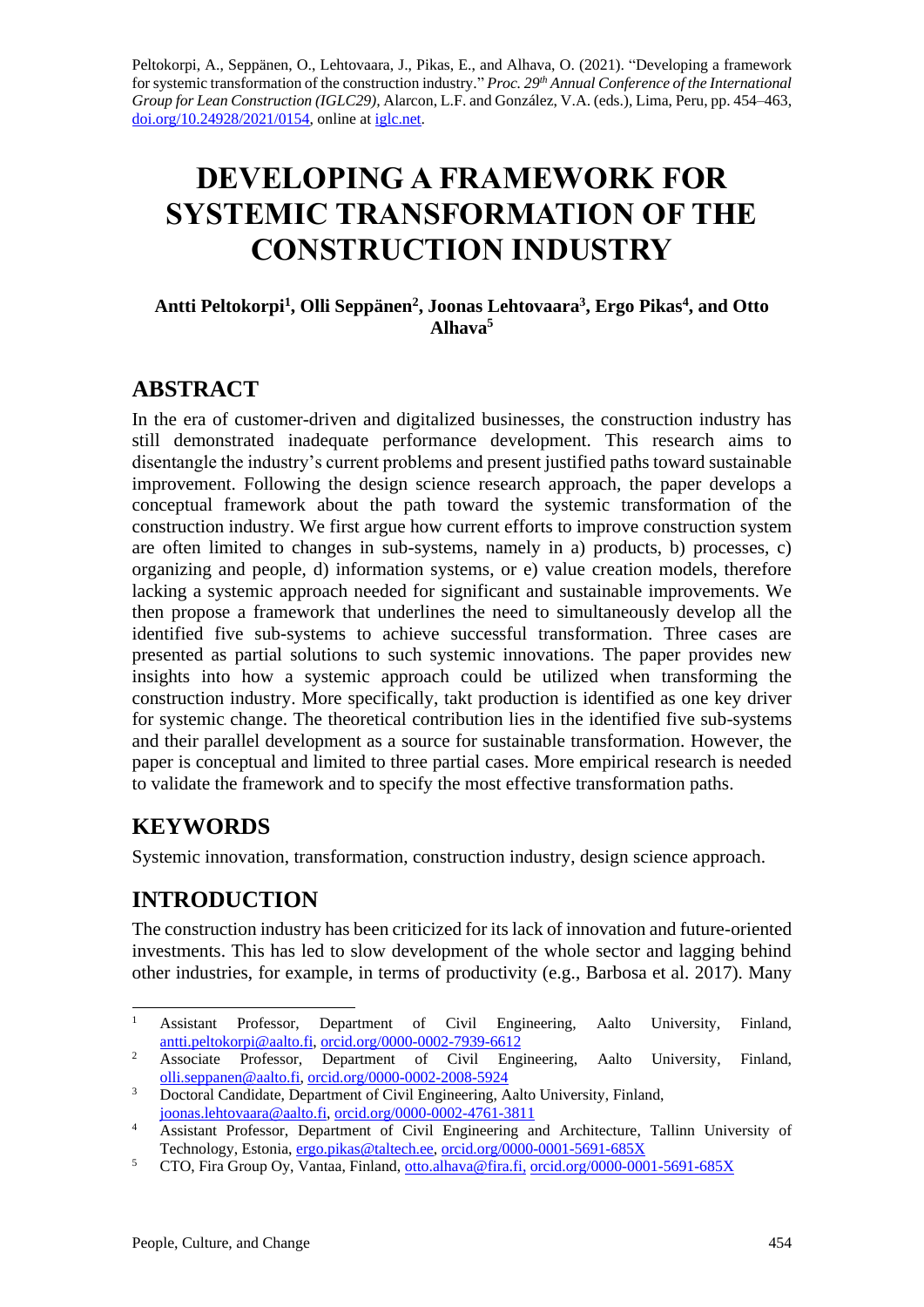Peltokorpi, A., Seppänen, O., Lehtovaara, J., Pikas, E., and Alhava, O. (2021). "Developing a framework for systemic transformation of the construction industry." *Proc. 29 th Annual Conference of the International Group for Lean Construction (IGLC29),* Alarcon, L.F. and González, V.A. (eds.)*,* Lima, Peru, pp. 454–463, [doi.org/10.24928/2021/0154,](https://doi.org/10.24928/2021/0154) online a[t iglc.net.](http://iglc.net/)

# **DEVELOPING A FRAMEWORK FOR SYSTEMIC TRANSFORMATION OF THE CONSTRUCTION INDUSTRY**

#### **Antti Peltokorpi<sup>1</sup> , Olli Seppänen<sup>2</sup> , Joonas Lehtovaara<sup>3</sup> , Ergo Pikas<sup>4</sup> , and Otto Alhava<sup>5</sup>**

### **ABSTRACT**

In the era of customer-driven and digitalized businesses, the construction industry has still demonstrated inadequate performance development. This research aims to disentangle the industry's current problems and present justified paths toward sustainable improvement. Following the design science research approach, the paper develops a conceptual framework about the path toward the systemic transformation of the construction industry. We first argue how current efforts to improve construction system are often limited to changes in sub-systems, namely in a) products, b) processes, c) organizing and people, d) information systems, or e) value creation models, therefore lacking a systemic approach needed for significant and sustainable improvements. We then propose a framework that underlines the need to simultaneously develop all the identified five sub-systems to achieve successful transformation. Three cases are presented as partial solutions to such systemic innovations. The paper provides new insights into how a systemic approach could be utilized when transforming the construction industry. More specifically, takt production is identified as one key driver for systemic change. The theoretical contribution lies in the identified five sub-systems and their parallel development as a source for sustainable transformation. However, the paper is conceptual and limited to three partial cases. More empirical research is needed to validate the framework and to specify the most effective transformation paths.

### **KEYWORDS**

Systemic innovation, transformation, construction industry, design science approach.

## **INTRODUCTION**

The construction industry has been criticized for its lack of innovation and future-oriented investments. This has led to slow development of the whole sector and lagging behind other industries, for example, in terms of productivity (e.g., Barbosa et al. 2017). Many

<sup>&</sup>lt;sup>1</sup> Assistant Professor, Department of Civil Engineering, Aalto University, Finland, [antti.peltokorpi@aalto.fi,](mailto:antti.peltokorpi@aalto.fi) [orcid.org/0000-0002-7939-6612](https://orcid.org/0000-0002-7939-6612)

<sup>&</sup>lt;sup>2</sup> Associate Professor, Department of Civil Engineering, Aalto University, Finland, [olli.seppanen@aalto.fi,](mailto:olli.seppanen@aalto.fi) [orcid.org/0000-0002-2008-5924](https://orcid.org/0000-0002-2008-5924)

<sup>&</sup>lt;sup>3</sup> Doctoral Candidate, Department of Civil Engineering, Aalto University, Finland, [joonas.lehtovaara@aalto.fi,](mailto:joonas.lehtovaara@aalto.fi) [orcid.org/0000-0002-4761-3811](https://orcid.org/0000-0002-4761-3811)

<sup>&</sup>lt;sup>4</sup> Assistant Professor, Department of Civil Engineering and Architecture, Tallinn University of Technology, Estonia, [ergo.pikas@taltech.ee,](mailto:ergo.pikas@taltech.ee) [orcid.org/0000-0001-5691-685X](https://orcid.org/0000-0001-5691-685X)

<sup>5</sup> CTO, Fira Group Oy, Vantaa, Finland, [otto.alhava@fira.fi,](mailto:otto.alhava@fira.fi) [orcid.org/0000-0001-5691-685X](https://orcid.org/0000-0001-5691-685X)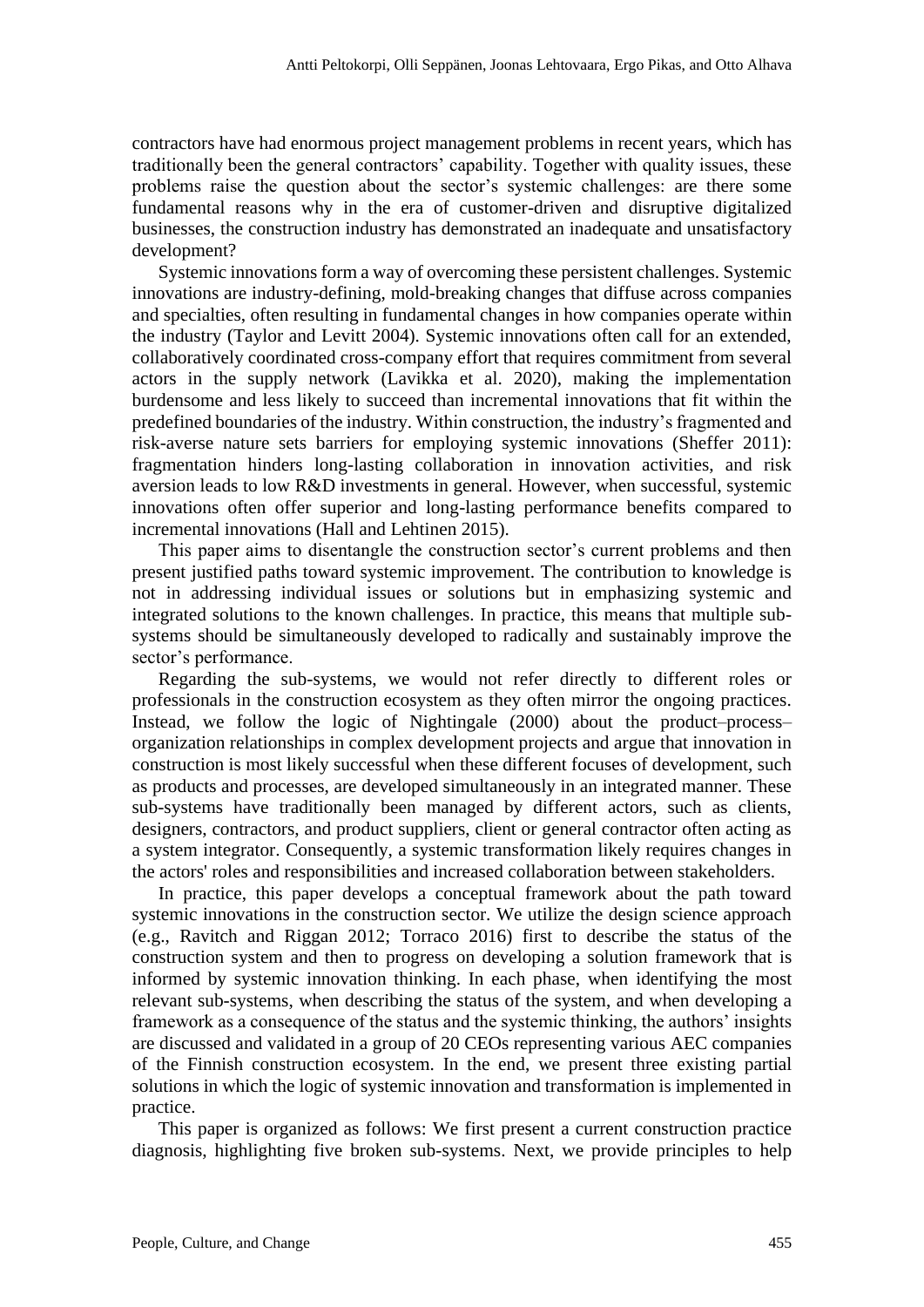contractors have had enormous project management problems in recent years, which has traditionally been the general contractors' capability. Together with quality issues, these problems raise the question about the sector's systemic challenges: are there some fundamental reasons why in the era of customer-driven and disruptive digitalized businesses, the construction industry has demonstrated an inadequate and unsatisfactory development?

Systemic innovations form a way of overcoming these persistent challenges. Systemic innovations are industry-defining, mold-breaking changes that diffuse across companies and specialties, often resulting in fundamental changes in how companies operate within the industry (Taylor and Levitt 2004). Systemic innovations often call for an extended, collaboratively coordinated cross-company effort that requires commitment from several actors in the supply network (Lavikka et al. 2020), making the implementation burdensome and less likely to succeed than incremental innovations that fit within the predefined boundaries of the industry. Within construction, the industry's fragmented and risk-averse nature sets barriers for employing systemic innovations (Sheffer 2011): fragmentation hinders long-lasting collaboration in innovation activities, and risk aversion leads to low R&D investments in general. However, when successful, systemic innovations often offer superior and long-lasting performance benefits compared to incremental innovations (Hall and Lehtinen 2015).

This paper aims to disentangle the construction sector's current problems and then present justified paths toward systemic improvement. The contribution to knowledge is not in addressing individual issues or solutions but in emphasizing systemic and integrated solutions to the known challenges. In practice, this means that multiple subsystems should be simultaneously developed to radically and sustainably improve the sector's performance.

Regarding the sub-systems, we would not refer directly to different roles or professionals in the construction ecosystem as they often mirror the ongoing practices. Instead, we follow the logic of Nightingale (2000) about the product–process– organization relationships in complex development projects and argue that innovation in construction is most likely successful when these different focuses of development, such as products and processes, are developed simultaneously in an integrated manner. These sub-systems have traditionally been managed by different actors, such as clients, designers, contractors, and product suppliers, client or general contractor often acting as a system integrator. Consequently, a systemic transformation likely requires changes in the actors' roles and responsibilities and increased collaboration between stakeholders.

In practice, this paper develops a conceptual framework about the path toward systemic innovations in the construction sector. We utilize the design science approach (e.g., Ravitch and Riggan 2012; Torraco 2016) first to describe the status of the construction system and then to progress on developing a solution framework that is informed by systemic innovation thinking. In each phase, when identifying the most relevant sub-systems, when describing the status of the system, and when developing a framework as a consequence of the status and the systemic thinking, the authors' insights are discussed and validated in a group of 20 CEOs representing various AEC companies of the Finnish construction ecosystem. In the end, we present three existing partial solutions in which the logic of systemic innovation and transformation is implemented in practice.

This paper is organized as follows: We first present a current construction practice diagnosis, highlighting five broken sub-systems. Next, we provide principles to help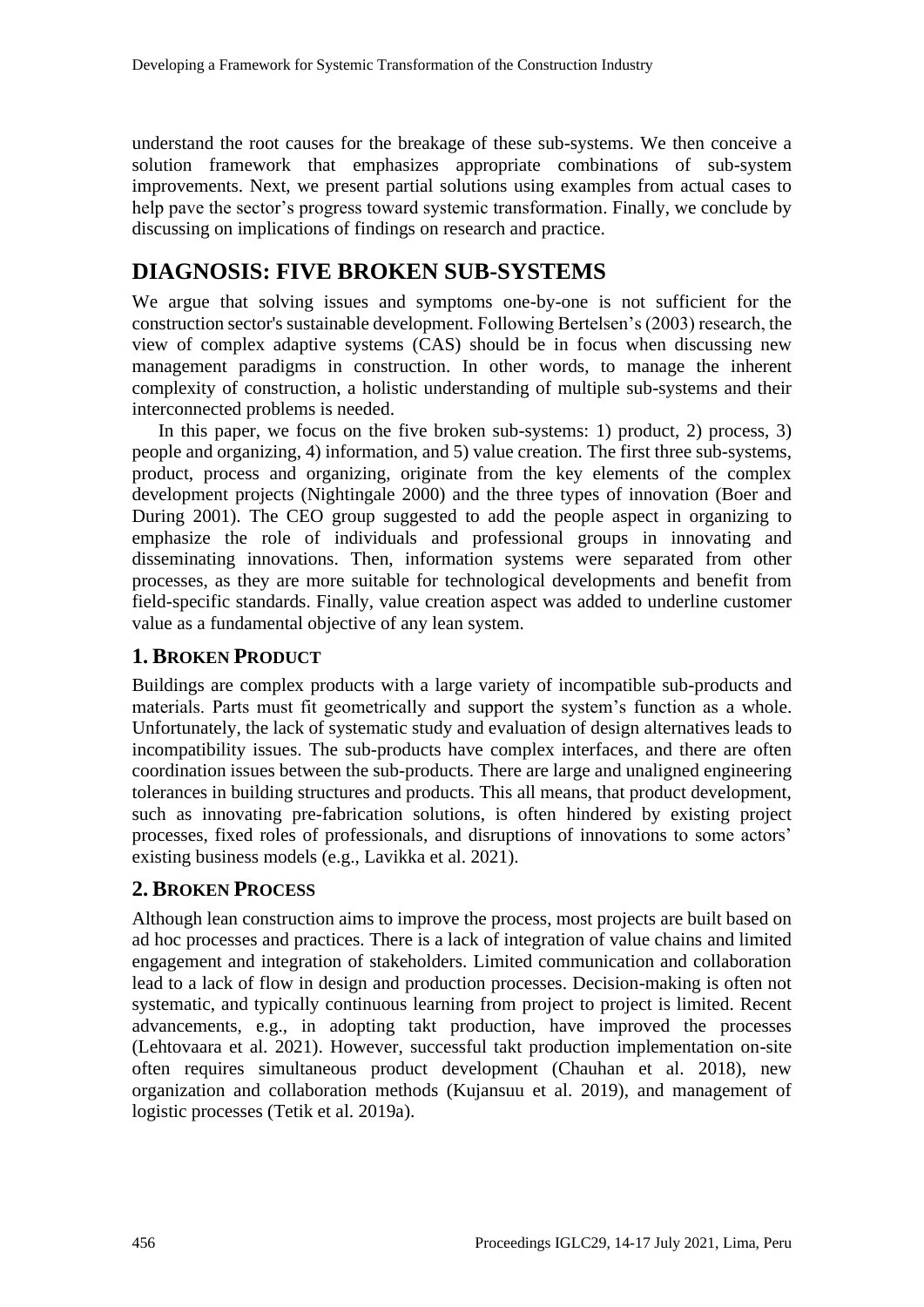understand the root causes for the breakage of these sub-systems. We then conceive a solution framework that emphasizes appropriate combinations of sub-system improvements. Next, we present partial solutions using examples from actual cases to help pave the sector's progress toward systemic transformation. Finally, we conclude by discussing on implications of findings on research and practice.

### **DIAGNOSIS: FIVE BROKEN SUB-SYSTEMS**

We argue that solving issues and symptoms one-by-one is not sufficient for the construction sector's sustainable development. Following Bertelsen's (2003) research, the view of complex adaptive systems (CAS) should be in focus when discussing new management paradigms in construction. In other words, to manage the inherent complexity of construction, a holistic understanding of multiple sub-systems and their interconnected problems is needed.

In this paper, we focus on the five broken sub-systems: 1) product, 2) process, 3) people and organizing, 4) information, and 5) value creation. The first three sub-systems, product, process and organizing, originate from the key elements of the complex development projects (Nightingale 2000) and the three types of innovation (Boer and During 2001). The CEO group suggested to add the people aspect in organizing to emphasize the role of individuals and professional groups in innovating and disseminating innovations. Then, information systems were separated from other processes, as they are more suitable for technological developments and benefit from field-specific standards. Finally, value creation aspect was added to underline customer value as a fundamental objective of any lean system.

#### **1. BROKEN PRODUCT**

Buildings are complex products with a large variety of incompatible sub-products and materials. Parts must fit geometrically and support the system's function as a whole. Unfortunately, the lack of systematic study and evaluation of design alternatives leads to incompatibility issues. The sub-products have complex interfaces, and there are often coordination issues between the sub-products. There are large and unaligned engineering tolerances in building structures and products. This all means, that product development, such as innovating pre-fabrication solutions, is often hindered by existing project processes, fixed roles of professionals, and disruptions of innovations to some actors' existing business models (e.g., Lavikka et al. 2021).

#### **2. BROKEN PROCESS**

Although lean construction aims to improve the process, most projects are built based on ad hoc processes and practices. There is a lack of integration of value chains and limited engagement and integration of stakeholders. Limited communication and collaboration lead to a lack of flow in design and production processes. Decision-making is often not systematic, and typically continuous learning from project to project is limited. Recent advancements, e.g., in adopting takt production, have improved the processes (Lehtovaara et al. 2021). However, successful takt production implementation on-site often requires simultaneous product development (Chauhan et al. 2018), new organization and collaboration methods (Kujansuu et al. 2019), and management of logistic processes (Tetik et al. 2019a).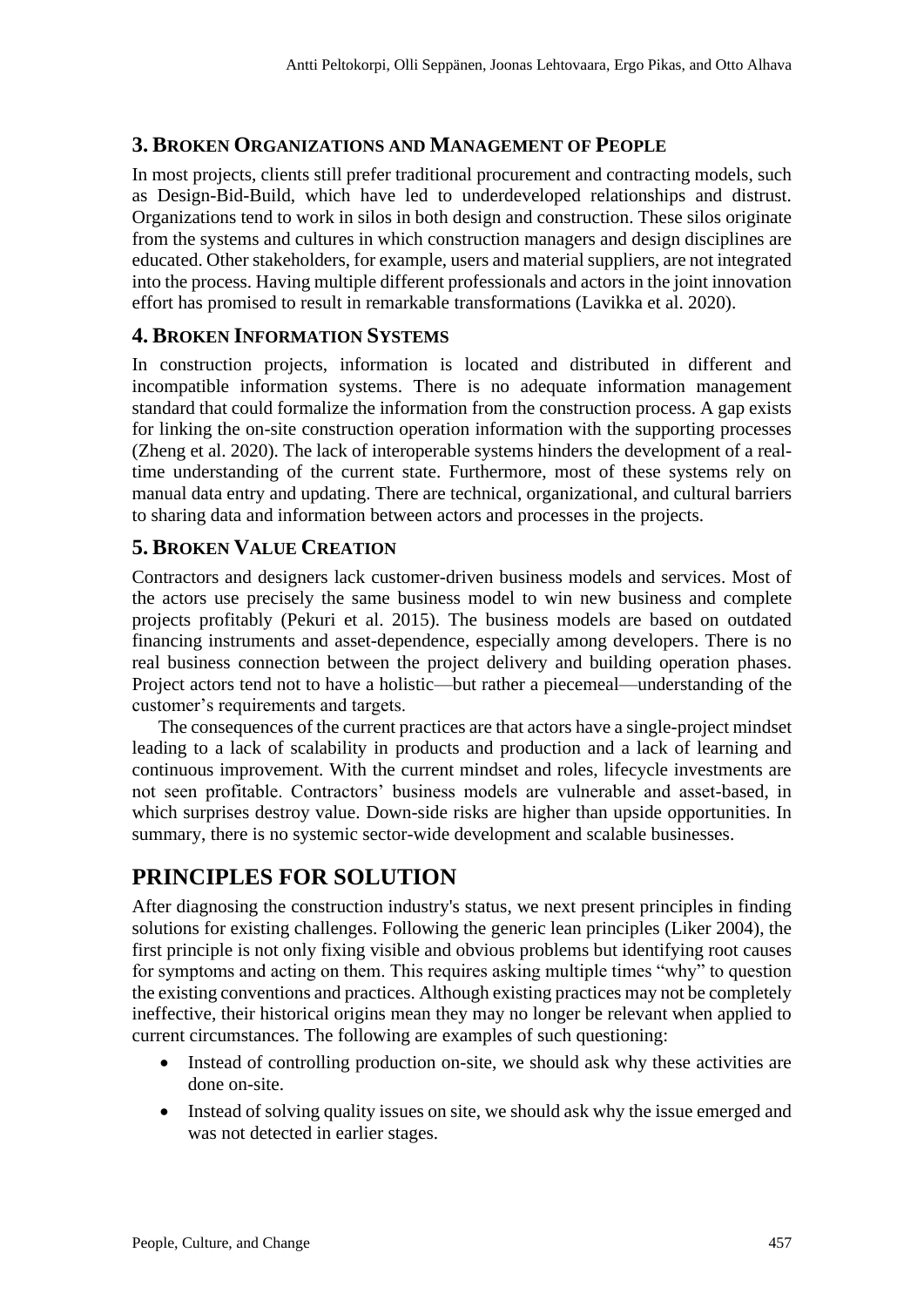#### **3. BROKEN ORGANIZATIONS AND MANAGEMENT OF PEOPLE**

In most projects, clients still prefer traditional procurement and contracting models, such as Design-Bid-Build, which have led to underdeveloped relationships and distrust. Organizations tend to work in silos in both design and construction. These silos originate from the systems and cultures in which construction managers and design disciplines are educated. Other stakeholders, for example, users and material suppliers, are not integrated into the process. Having multiple different professionals and actors in the joint innovation effort has promised to result in remarkable transformations (Lavikka et al. 2020).

#### **4. BROKEN INFORMATION SYSTEMS**

In construction projects, information is located and distributed in different and incompatible information systems. There is no adequate information management standard that could formalize the information from the construction process. A gap exists for linking the on-site construction operation information with the supporting processes (Zheng et al. 2020). The lack of interoperable systems hinders the development of a realtime understanding of the current state. Furthermore, most of these systems rely on manual data entry and updating. There are technical, organizational, and cultural barriers to sharing data and information between actors and processes in the projects.

#### **5. BROKEN VALUE CREATION**

Contractors and designers lack customer-driven business models and services. Most of the actors use precisely the same business model to win new business and complete projects profitably (Pekuri et al. 2015). The business models are based on outdated financing instruments and asset-dependence, especially among developers. There is no real business connection between the project delivery and building operation phases. Project actors tend not to have a holistic—but rather a piecemeal—understanding of the customer's requirements and targets.

The consequences of the current practices are that actors have a single-project mindset leading to a lack of scalability in products and production and a lack of learning and continuous improvement. With the current mindset and roles, lifecycle investments are not seen profitable. Contractors' business models are vulnerable and asset-based, in which surprises destroy value. Down-side risks are higher than upside opportunities. In summary, there is no systemic sector-wide development and scalable businesses.

### **PRINCIPLES FOR SOLUTION**

After diagnosing the construction industry's status, we next present principles in finding solutions for existing challenges. Following the generic lean principles (Liker 2004), the first principle is not only fixing visible and obvious problems but identifying root causes for symptoms and acting on them. This requires asking multiple times "why" to question the existing conventions and practices. Although existing practices may not be completely ineffective, their historical origins mean they may no longer be relevant when applied to current circumstances. The following are examples of such questioning:

- Instead of controlling production on-site, we should ask why these activities are done on-site.
- Instead of solving quality issues on site, we should ask why the issue emerged and was not detected in earlier stages.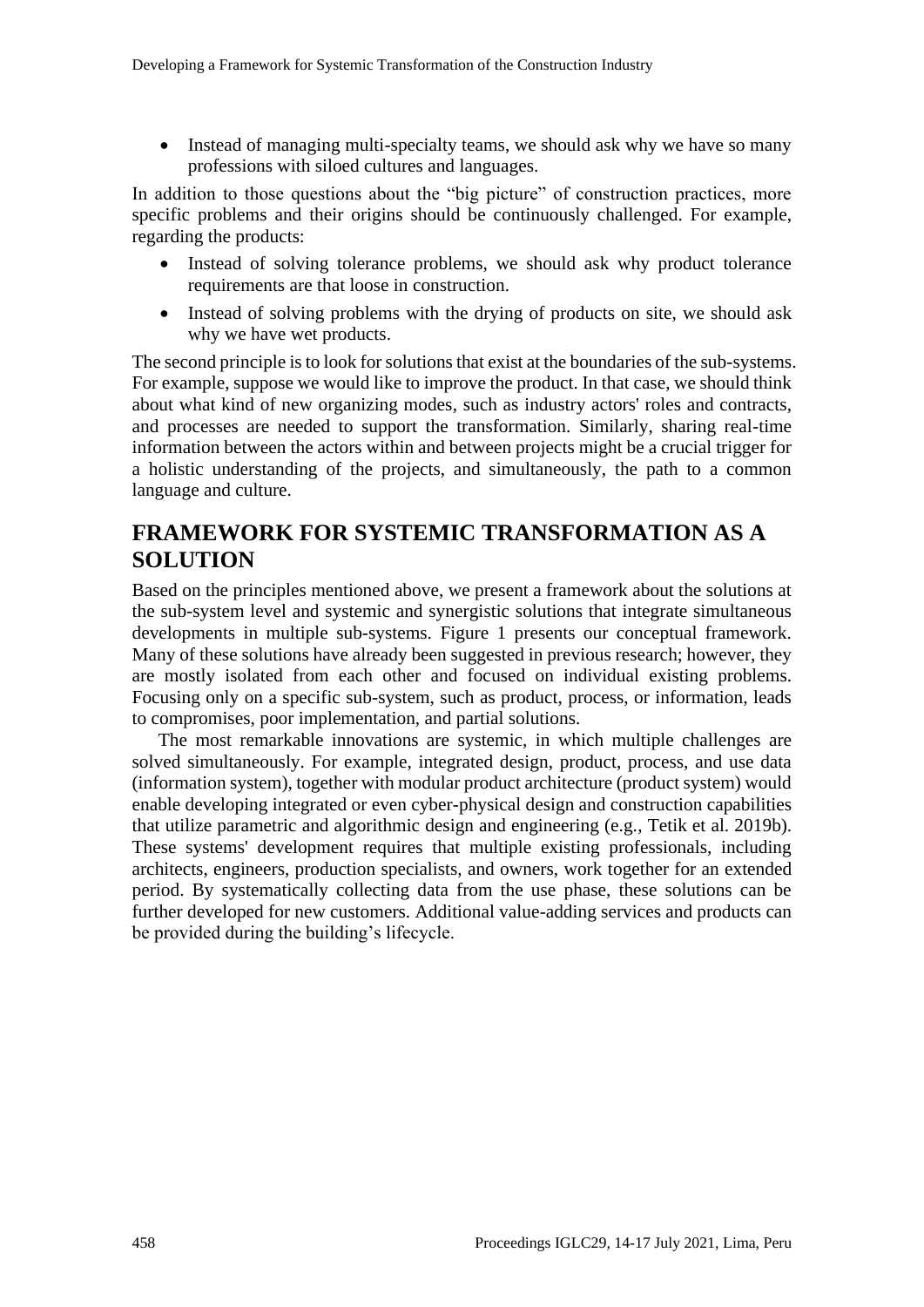• Instead of managing multi-specialty teams, we should ask why we have so many professions with siloed cultures and languages.

In addition to those questions about the "big picture" of construction practices, more specific problems and their origins should be continuously challenged. For example, regarding the products:

- Instead of solving tolerance problems, we should ask why product tolerance requirements are that loose in construction.
- Instead of solving problems with the drying of products on site, we should ask why we have wet products.

The second principle is to look for solutions that exist at the boundaries of the sub-systems. For example, suppose we would like to improve the product. In that case, we should think about what kind of new organizing modes, such as industry actors' roles and contracts, and processes are needed to support the transformation. Similarly, sharing real-time information between the actors within and between projects might be a crucial trigger for a holistic understanding of the projects, and simultaneously, the path to a common language and culture.

### **FRAMEWORK FOR SYSTEMIC TRANSFORMATION AS A SOLUTION**

Based on the principles mentioned above, we present a framework about the solutions at the sub-system level and systemic and synergistic solutions that integrate simultaneous developments in multiple sub-systems. Figure 1 presents our conceptual framework. Many of these solutions have already been suggested in previous research; however, they are mostly isolated from each other and focused on individual existing problems. Focusing only on a specific sub-system, such as product, process, or information, leads to compromises, poor implementation, and partial solutions.

The most remarkable innovations are systemic, in which multiple challenges are solved simultaneously. For example, integrated design, product, process, and use data (information system), together with modular product architecture (product system) would enable developing integrated or even cyber-physical design and construction capabilities that utilize parametric and algorithmic design and engineering (e.g., Tetik et al. 2019b). These systems' development requires that multiple existing professionals, including architects, engineers, production specialists, and owners, work together for an extended period. By systematically collecting data from the use phase, these solutions can be further developed for new customers. Additional value-adding services and products can be provided during the building's lifecycle.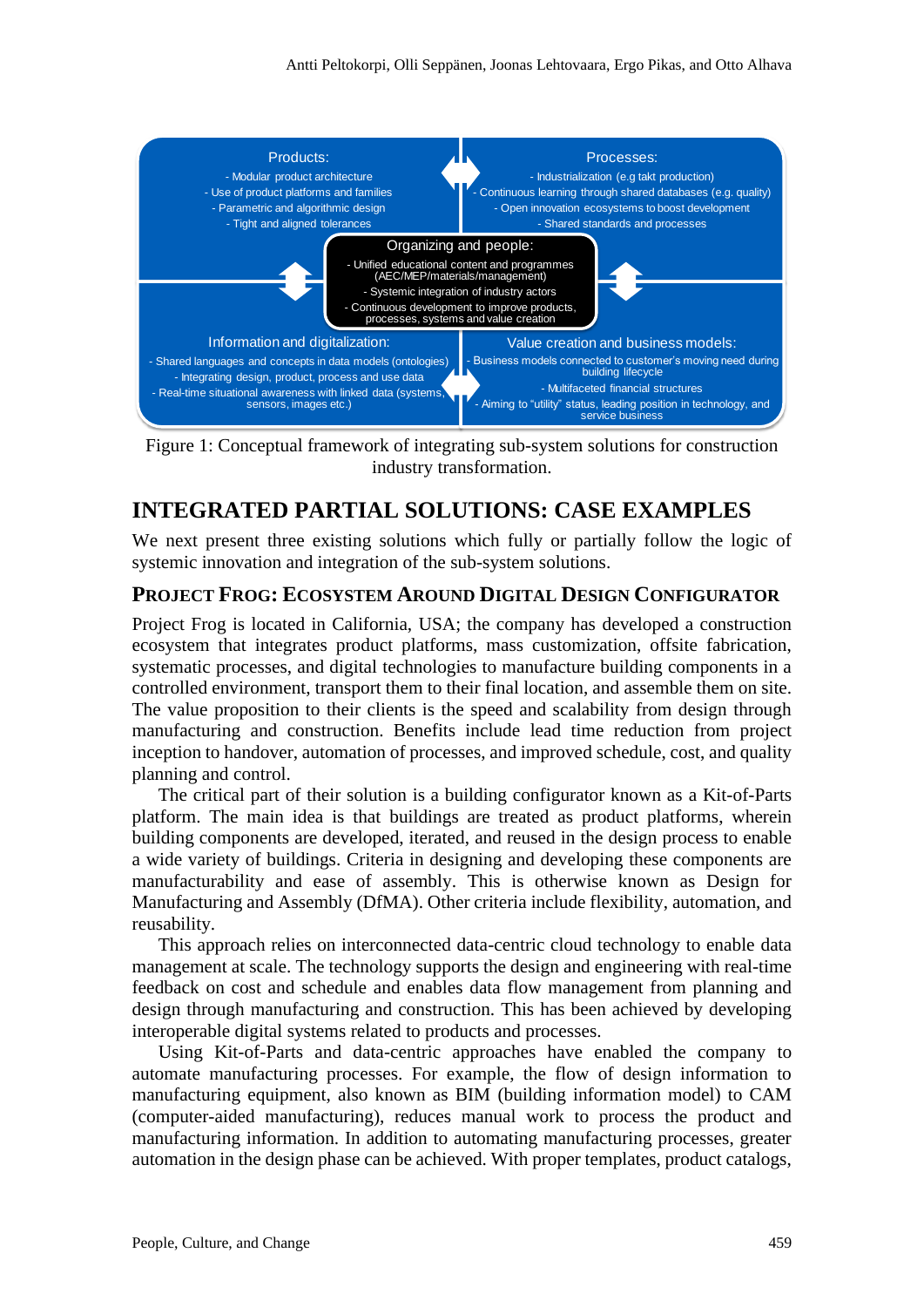

Figure 1: Conceptual framework of integrating sub-system solutions for construction industry transformation.

### **INTEGRATED PARTIAL SOLUTIONS: CASE EXAMPLES**

We next present three existing solutions which fully or partially follow the logic of systemic innovation and integration of the sub-system solutions.

#### **PROJECT FROG: ECOSYSTEM AROUND DIGITAL DESIGN CONFIGURATOR**

Project Frog is located in California, USA; the company has developed a construction ecosystem that integrates product platforms, mass customization, offsite fabrication, systematic processes, and digital technologies to manufacture building components in a controlled environment, transport them to their final location, and assemble them on site. The value proposition to their clients is the speed and scalability from design through manufacturing and construction. Benefits include lead time reduction from project inception to handover, automation of processes, and improved schedule, cost, and quality planning and control.

The critical part of their solution is a building configurator known as a Kit-of-Parts platform. The main idea is that buildings are treated as product platforms, wherein building components are developed, iterated, and reused in the design process to enable a wide variety of buildings. Criteria in designing and developing these components are manufacturability and ease of assembly. This is otherwise known as Design for Manufacturing and Assembly (DfMA). Other criteria include flexibility, automation, and reusability.

This approach relies on interconnected data-centric cloud technology to enable data management at scale. The technology supports the design and engineering with real-time feedback on cost and schedule and enables data flow management from planning and design through manufacturing and construction. This has been achieved by developing interoperable digital systems related to products and processes.

Using Kit-of-Parts and data-centric approaches have enabled the company to automate manufacturing processes. For example, the flow of design information to manufacturing equipment, also known as BIM (building information model) to CAM (computer-aided manufacturing), reduces manual work to process the product and manufacturing information. In addition to automating manufacturing processes, greater automation in the design phase can be achieved. With proper templates, product catalogs,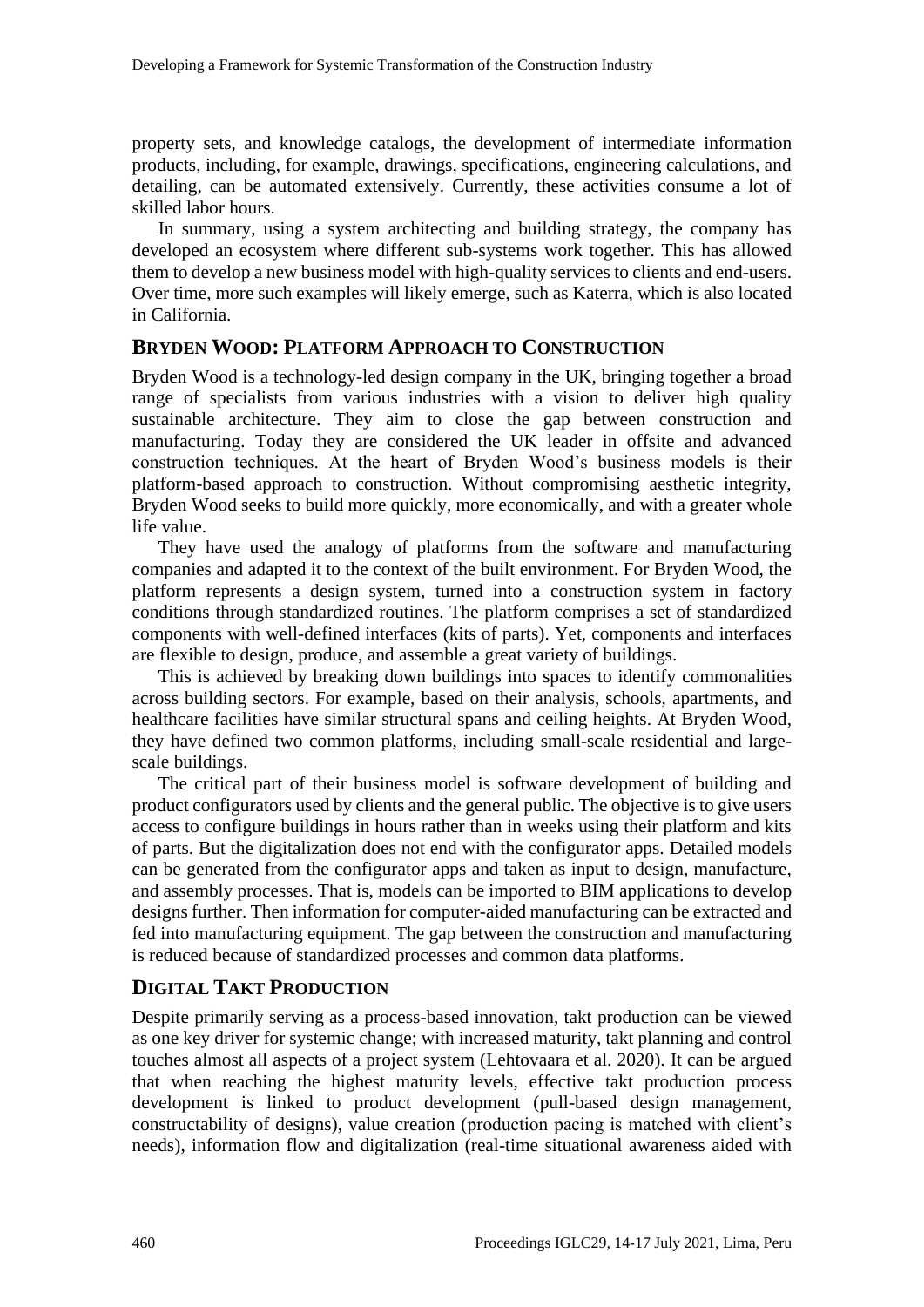property sets, and knowledge catalogs, the development of intermediate information products, including, for example, drawings, specifications, engineering calculations, and detailing, can be automated extensively. Currently, these activities consume a lot of skilled labor hours.

In summary, using a system architecting and building strategy, the company has developed an ecosystem where different sub-systems work together. This has allowed them to develop a new business model with high-quality services to clients and end-users. Over time, more such examples will likely emerge, such as Katerra, which is also located in California.

#### **BRYDEN WOOD: PLATFORM APPROACH TO CONSTRUCTION**

Bryden Wood is a technology-led design company in the UK, bringing together a broad range of specialists from various industries with a vision to deliver high quality sustainable architecture. They aim to close the gap between construction and manufacturing. Today they are considered the UK leader in offsite and advanced construction techniques. At the heart of Bryden Wood's business models is their platform-based approach to construction. Without compromising aesthetic integrity, Bryden Wood seeks to build more quickly, more economically, and with a greater whole life value.

They have used the analogy of platforms from the software and manufacturing companies and adapted it to the context of the built environment. For Bryden Wood, the platform represents a design system, turned into a construction system in factory conditions through standardized routines. The platform comprises a set of standardized components with well-defined interfaces (kits of parts). Yet, components and interfaces are flexible to design, produce, and assemble a great variety of buildings.

This is achieved by breaking down buildings into spaces to identify commonalities across building sectors. For example, based on their analysis, schools, apartments, and healthcare facilities have similar structural spans and ceiling heights. At Bryden Wood, they have defined two common platforms, including small-scale residential and largescale buildings.

The critical part of their business model is software development of building and product configurators used by clients and the general public. The objective is to give users access to configure buildings in hours rather than in weeks using their platform and kits of parts. But the digitalization does not end with the configurator apps. Detailed models can be generated from the configurator apps and taken as input to design, manufacture, and assembly processes. That is, models can be imported to BIM applications to develop designs further. Then information for computer-aided manufacturing can be extracted and fed into manufacturing equipment. The gap between the construction and manufacturing is reduced because of standardized processes and common data platforms.

#### **DIGITAL TAKT PRODUCTION**

Despite primarily serving as a process-based innovation, takt production can be viewed as one key driver for systemic change; with increased maturity, takt planning and control touches almost all aspects of a project system (Lehtovaara et al. 2020). It can be argued that when reaching the highest maturity levels, effective takt production process development is linked to product development (pull-based design management, constructability of designs), value creation (production pacing is matched with client's needs), information flow and digitalization (real-time situational awareness aided with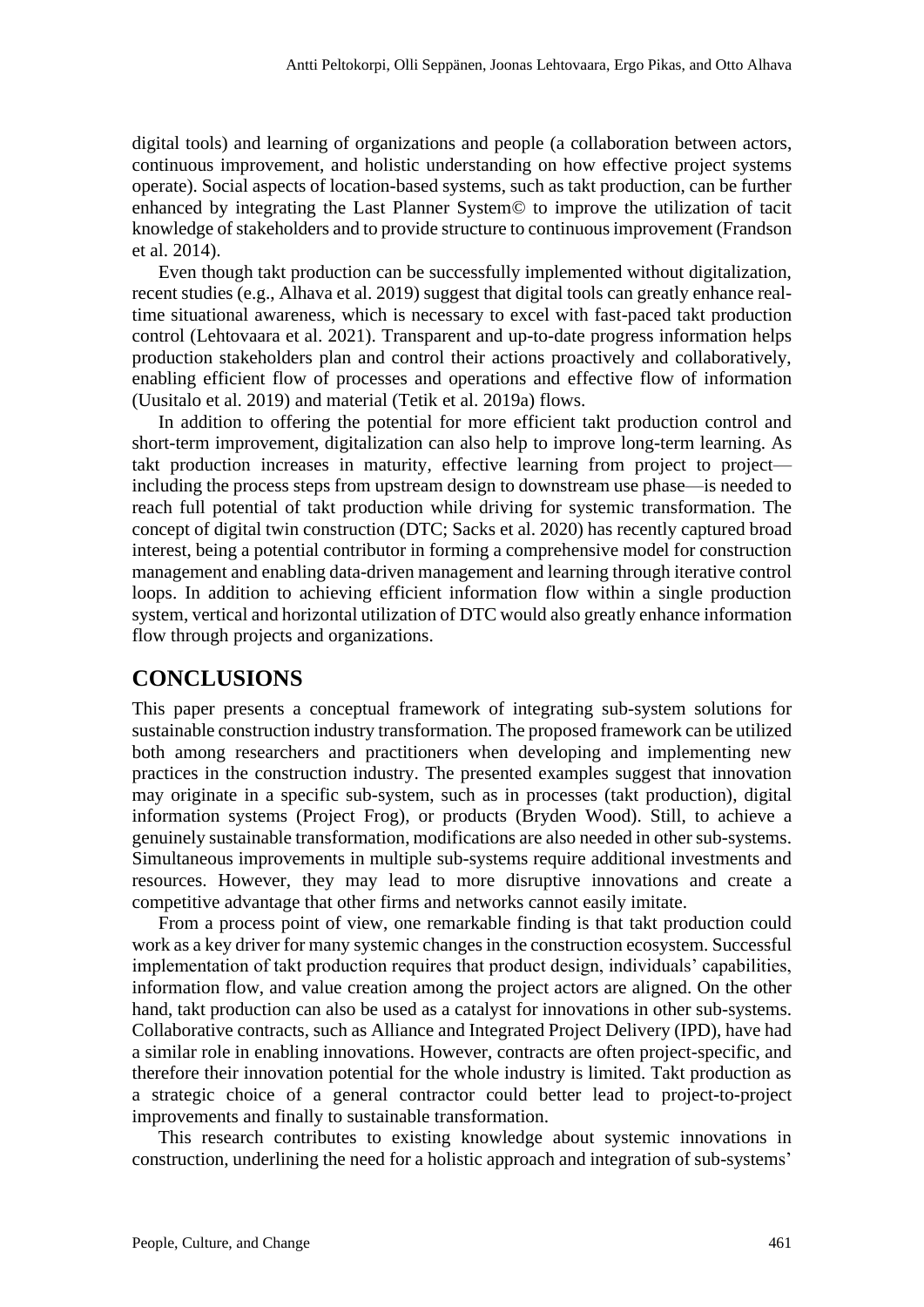digital tools) and learning of organizations and people (a collaboration between actors, continuous improvement, and holistic understanding on how effective project systems operate). Social aspects of location-based systems, such as takt production, can be further enhanced by integrating the Last Planner System© to improve the utilization of tacit knowledge of stakeholders and to provide structure to continuous improvement (Frandson et al. 2014).

Even though takt production can be successfully implemented without digitalization, recent studies (e.g., Alhava et al. 2019) suggest that digital tools can greatly enhance realtime situational awareness, which is necessary to excel with fast-paced takt production control (Lehtovaara et al. 2021). Transparent and up-to-date progress information helps production stakeholders plan and control their actions proactively and collaboratively, enabling efficient flow of processes and operations and effective flow of information (Uusitalo et al. 2019) and material (Tetik et al. 2019a) flows.

In addition to offering the potential for more efficient takt production control and short-term improvement, digitalization can also help to improve long-term learning. As takt production increases in maturity, effective learning from project to project including the process steps from upstream design to downstream use phase—is needed to reach full potential of takt production while driving for systemic transformation. The concept of digital twin construction (DTC; Sacks et al. 2020) has recently captured broad interest, being a potential contributor in forming a comprehensive model for construction management and enabling data-driven management and learning through iterative control loops. In addition to achieving efficient information flow within a single production system, vertical and horizontal utilization of DTC would also greatly enhance information flow through projects and organizations.

#### **CONCLUSIONS**

This paper presents a conceptual framework of integrating sub-system solutions for sustainable construction industry transformation. The proposed framework can be utilized both among researchers and practitioners when developing and implementing new practices in the construction industry. The presented examples suggest that innovation may originate in a specific sub-system, such as in processes (takt production), digital information systems (Project Frog), or products (Bryden Wood). Still, to achieve a genuinely sustainable transformation, modifications are also needed in other sub-systems. Simultaneous improvements in multiple sub-systems require additional investments and resources. However, they may lead to more disruptive innovations and create a competitive advantage that other firms and networks cannot easily imitate.

From a process point of view, one remarkable finding is that takt production could work as a key driver for many systemic changes in the construction ecosystem. Successful implementation of takt production requires that product design, individuals' capabilities, information flow, and value creation among the project actors are aligned. On the other hand, takt production can also be used as a catalyst for innovations in other sub-systems. Collaborative contracts, such as Alliance and Integrated Project Delivery (IPD), have had a similar role in enabling innovations. However, contracts are often project-specific, and therefore their innovation potential for the whole industry is limited. Takt production as a strategic choice of a general contractor could better lead to project-to-project improvements and finally to sustainable transformation.

This research contributes to existing knowledge about systemic innovations in construction, underlining the need for a holistic approach and integration of sub-systems'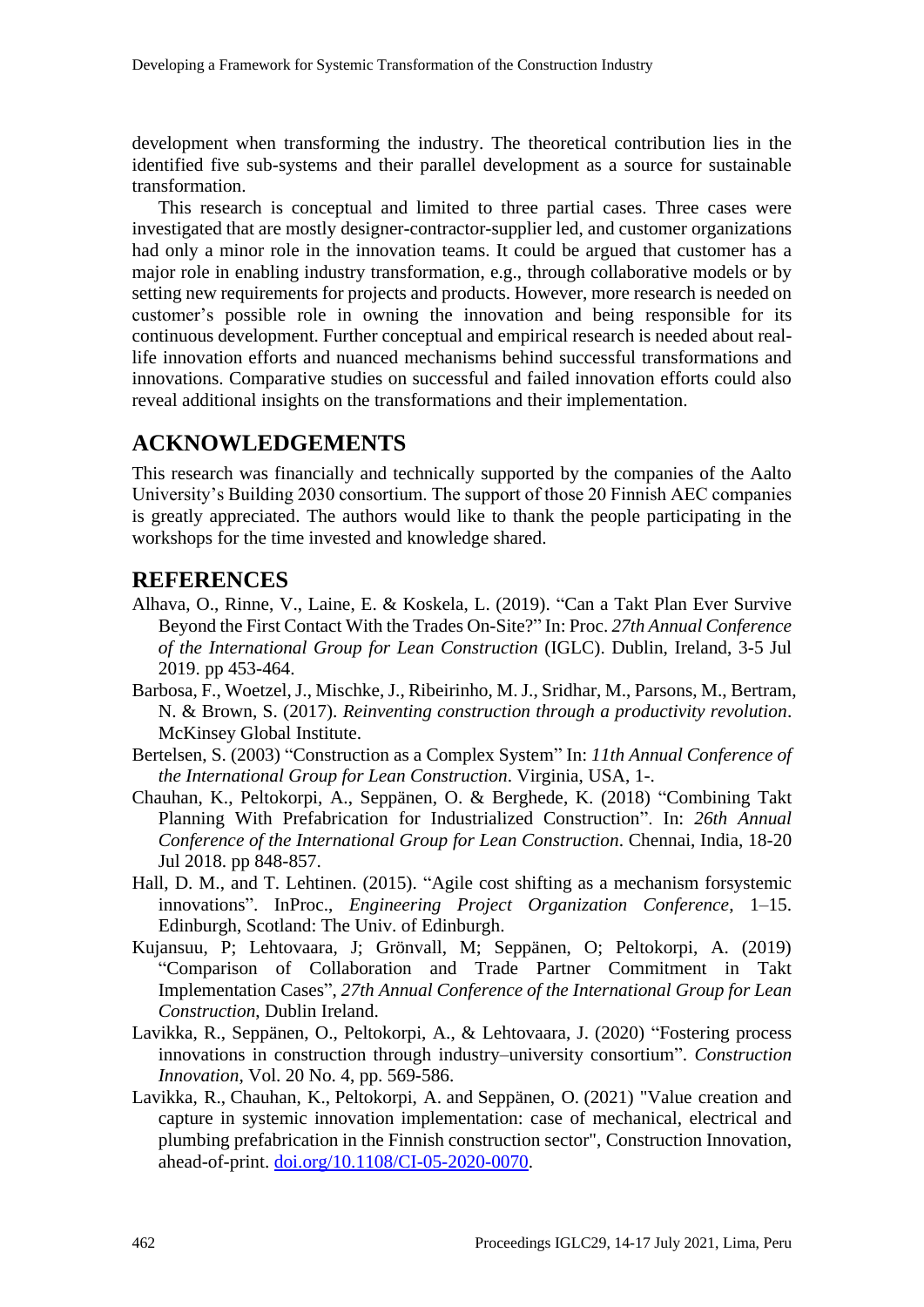development when transforming the industry. The theoretical contribution lies in the identified five sub-systems and their parallel development as a source for sustainable transformation.

This research is conceptual and limited to three partial cases. Three cases were investigated that are mostly designer-contractor-supplier led, and customer organizations had only a minor role in the innovation teams. It could be argued that customer has a major role in enabling industry transformation, e.g., through collaborative models or by setting new requirements for projects and products. However, more research is needed on customer's possible role in owning the innovation and being responsible for its continuous development. Further conceptual and empirical research is needed about reallife innovation efforts and nuanced mechanisms behind successful transformations and innovations. Comparative studies on successful and failed innovation efforts could also reveal additional insights on the transformations and their implementation.

### **ACKNOWLEDGEMENTS**

This research was financially and technically supported by the companies of the Aalto University's Building 2030 consortium. The support of those 20 Finnish AEC companies is greatly appreciated. The authors would like to thank the people participating in the workshops for the time invested and knowledge shared.

#### **REFERENCES**

- Alhava, O., Rinne, V., Laine, E. & Koskela, L. (2019). "Can a Takt Plan Ever Survive Beyond the First Contact With the Trades On-Site?" In: Proc. *27th Annual Conference of the International Group for Lean Construction* (IGLC). Dublin, Ireland, 3-5 Jul 2019. pp 453-464.
- Barbosa, F., Woetzel, J., Mischke, J., Ribeirinho, M. J., Sridhar, M., Parsons, M., Bertram, N. & Brown, S. (2017). *Reinventing construction through a productivity revolution*. McKinsey Global Institute.
- Bertelsen, S. (2003) "Construction as a Complex System" In: *11th Annual Conference of the International Group for Lean Construction*. Virginia, USA, 1-.
- Chauhan, K., Peltokorpi, A., Seppänen, O. & Berghede, K. (2018) "Combining Takt Planning With Prefabrication for Industrialized Construction". In: *26th Annual Conference of the International Group for Lean Construction*. Chennai, India, 18-20 Jul 2018. pp 848-857.
- Hall, D. M., and T. Lehtinen. (2015). "Agile cost shifting as a mechanism forsystemic innovations". InProc., *Engineering Project Organization Conference*, 1–15. Edinburgh, Scotland: The Univ. of Edinburgh.
- Kujansuu, P; Lehtovaara, J; Grönvall, M; Seppänen, O; Peltokorpi, A. (2019) "Comparison of Collaboration and Trade Partner Commitment in Takt Implementation Cases", *27th Annual Conference of the International Group for Lean Construction*, Dublin Ireland.
- Lavikka, R., Seppänen, O., Peltokorpi, A., & Lehtovaara, J. (2020) "Fostering process innovations in construction through industry–university consortium". *Construction Innovation*, Vol. 20 No. 4, pp. 569-586.
- [Lavikka, R.,](https://www.emerald.com/insight/search?q=Rita%20Lavikka) [Chauhan, K.,](https://www.emerald.com/insight/search?q=Krishna%20Chauhan) [Peltokorpi, A.](https://www.emerald.com/insight/search?q=Antti%20Peltokorpi) and [Seppänen, O.](https://www.emerald.com/insight/search?q=Olli%20Sepp%C3%A4nen) (2021) "Value creation and capture in systemic innovation implementation: case of mechanical, electrical and plumbing prefabrication in the Finnish construction sector", [Construction Innovation,](https://www.emerald.com/insight/publication/issn/1471-4175) ahead-of-print. [doi.org/10.1108/CI-05-2020-0070.](https://doi.org/10.1108/CI-05-2020-0070)